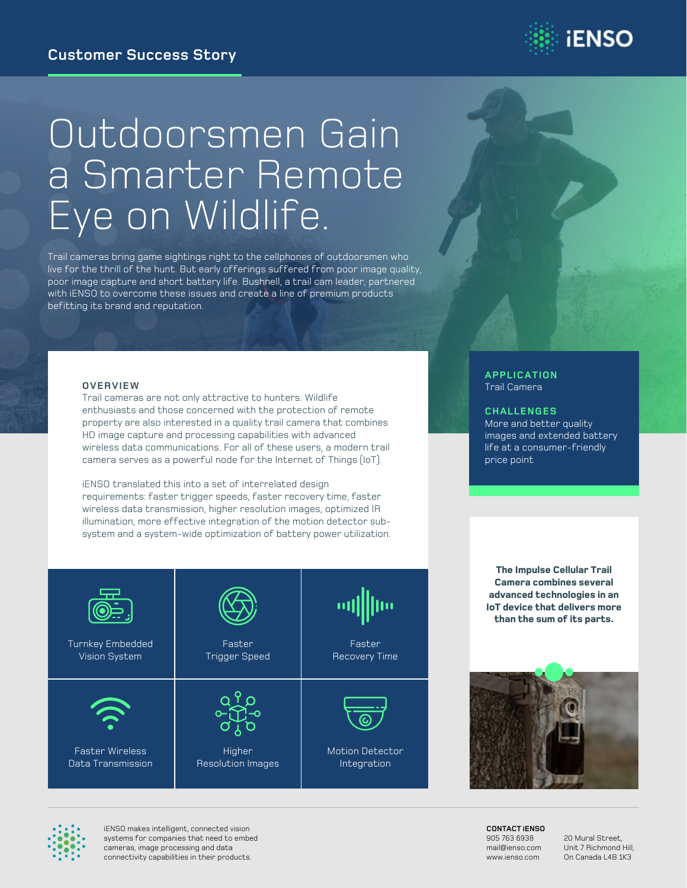

# Outdoorsmen Gain a Smarter Remote Eye on Wildlife.

Trail cameras bring game sightings right to the cellphones of outdoorsmen who live for the thrill of the hunt. But early offerings suffered from poor image quality, poor image capture and short battery life. Bushnell, a trail cam leader, partnered with iENSO to overcome these issues and create a line of premium products befitting its brand and reputation.

#### **OVERVIEW**

Turnkey Embedded Vision System

Faster Wireless Data Transmission

Trail cameras are not only attractive to hunters. Wildlife enthusiasts and those concerned with the protection of remote property are also interested in a quality trail camera that combines HD image capture and processing capabilities with advanced wireless data communications. For all of these users, a modern trail camera serves as a powerful node for the Internet of Things (IoT).

iENSO translated this into a set of interrelated design requirements: faster trigger speeds, faster recovery time, faster wireless data transmission, higher resolution images, optimized IR illumination, more effective integration of the motion detector subsystem and a system-wide optimization of battery power utilization.

> Faster Trigger Speed

**Higher** Resolution Images

Faster Recovery Time

Motion Detector Integration

#### **APPLICATION** Trail Camera

#### **CHALLENGES**

More and better quality images and extended battery life at a consumer-friendly price point

**The Impulse Cellular Trail Camera combines several advanced technologies in an IoT device that delivers more than the sum of its parts.**



iENSO makes intelligent, connected vision systems for companies that need to embed cameras, image processing and data connectivity capabilities in their products.

**CONTACT iENSO** 905 763 6938 mail@ienso.com www.ienso.com

20 Mural Street, Unit 7 Richmond Hill, On Canada L4B 1K3